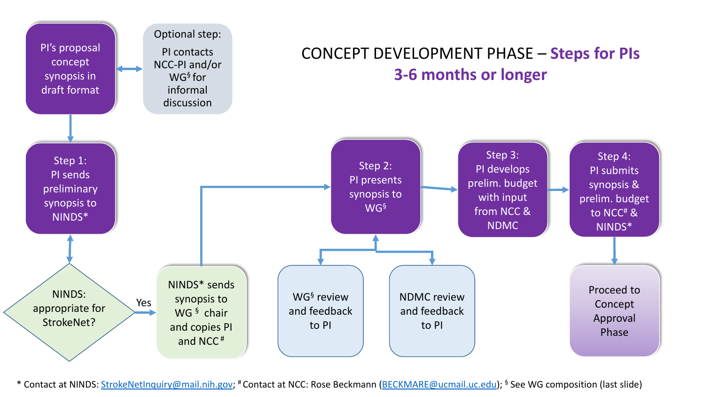

\* Contact at NINDS: [StrokeNetInquiry@mail.nih.gov](mailto:StrokeNetInquiry@mail.nih.gov); # Contact at NCC: Rose Beckmann [\(BECKMARE@ucmail.uc.edu](mailto:BECKMARE@ucmail.uc.edu)); § See WG composition (last slide)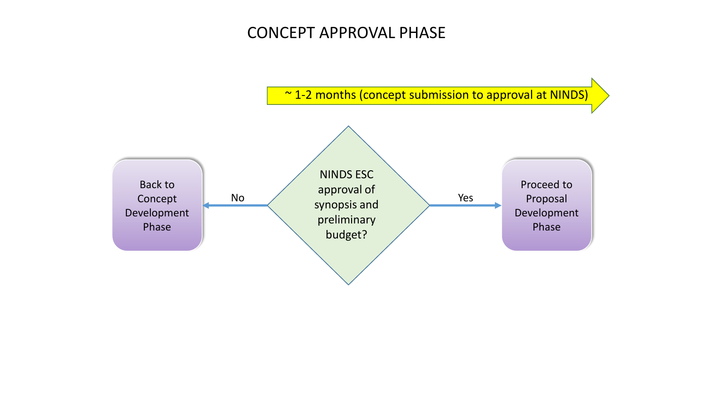## CONCEPT APPROVAL PHASE